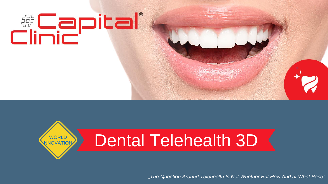





# WORLD > Dental Telehealth 3D

*"The Question Around Telehealth Is Not Whether But How And at What Pace"*

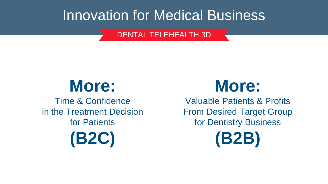## **More:** Time & Confidence in the Treatment Decision for Patients **(B2C)**

#### DENTAL TELEHEALTH 3D

# Innovation for Medical Business

# **More:**

Valuable Patients & Profits From Desired Target Group for Dentistry Business

**(B2B)**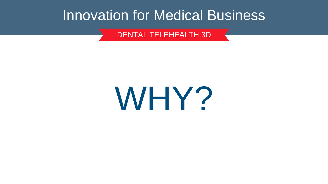#### DENTAL TELEHEALTH 3D



# Innovation for Medical Business

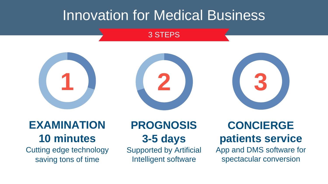



## **EXAMINATION 10 minutes**

Cutting edge technology saving tons of time

### **PROGNOSIS 3-5 days** Supported by Artificial Intelligent software

# **CONCIERGE patients service**

App and DMS software for spectacular conversion

#### 3 STEPS

# Innovation for Medical Business

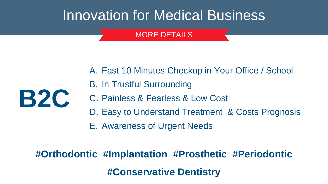#### MORE DETAILS

# **#Orthodontic #Implantation #Prosthetic #Periodontic**

**#Conservative Dentistry**

- 
- A. Fast 10 Minutes Checkup in Your Office / School B. In Trustful Surrounding
- C. Painless & Fearless & Low Cost
- D. Easy to Understand Treatment & Costs Prognosis
- E. Awareness of Urgent Needs
- 

**B2C**

# Innovation for Medical Business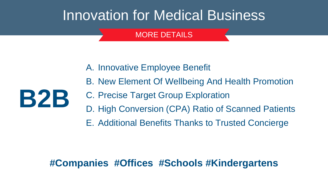#### MORE DETAILS

### **#Companies #Offices #Schools #Kindergartens**

- A. Innovative Employee Benefit
- B. New Element Of Wellbeing And Health Promotion
- C. Precise Target Group Exploration
- D. High Conversion (CPA) Ratio of Scanned Patients
- E. Additional Benefits Thanks to Trusted Concierge

# Innovation for Medical Business

**B2B**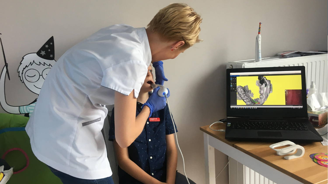